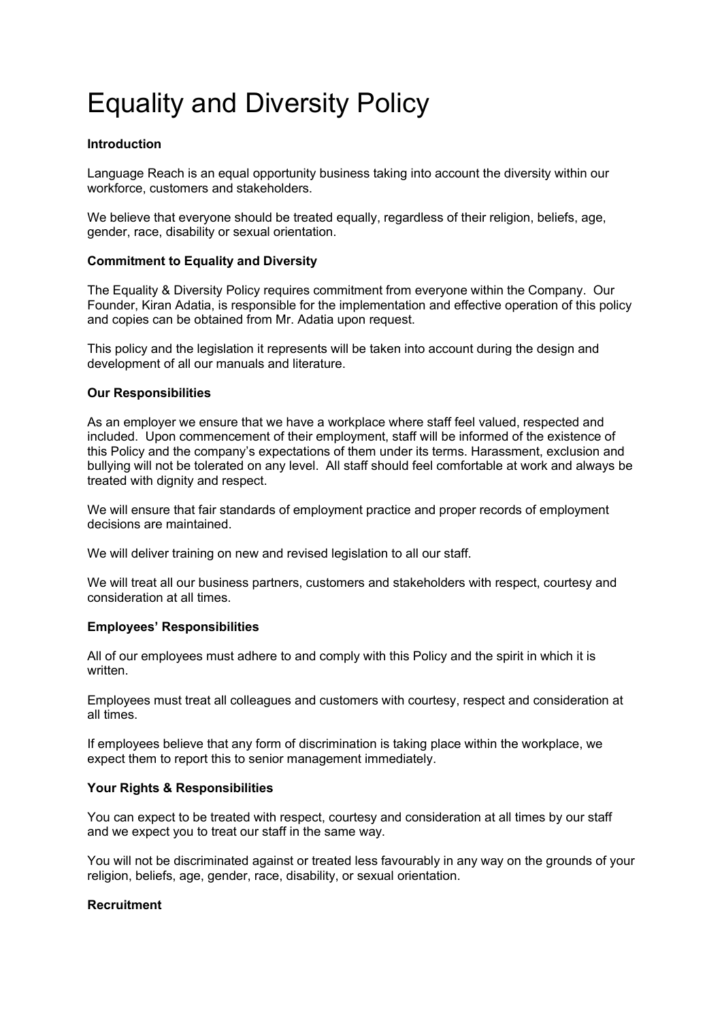# Equality and Diversity Policy

## **Introduction**

Language Reach is an equal opportunity business taking into account the diversity within our workforce, customers and stakeholders.

We believe that everyone should be treated equally, regardless of their religion, beliefs, age, gender, race, disability or sexual orientation.

## **Commitment to Equality and Diversity**

The Equality & Diversity Policy requires commitment from everyone within the Company. Our Founder, Kiran Adatia, is responsible for the implementation and effective operation of this policy and copies can be obtained from Mr. Adatia upon request.

This policy and the legislation it represents will be taken into account during the design and development of all our manuals and literature.

## **Our Responsibilities**

As an employer we ensure that we have a workplace where staff feel valued, respected and included. Upon commencement of their employment, staff will be informed of the existence of this Policy and the company's expectations of them under its terms. Harassment, exclusion and bullying will not be tolerated on any level. All staff should feel comfortable at work and always be treated with dignity and respect.

We will ensure that fair standards of employment practice and proper records of employment decisions are maintained.

We will deliver training on new and revised legislation to all our staff.

We will treat all our business partners, customers and stakeholders with respect, courtesy and consideration at all times.

## **Employees' Responsibilities**

All of our employees must adhere to and comply with this Policy and the spirit in which it is written.

Employees must treat all colleagues and customers with courtesy, respect and consideration at all times.

If employees believe that any form of discrimination is taking place within the workplace, we expect them to report this to senior management immediately.

## **Your Rights & Responsibilities**

You can expect to be treated with respect, courtesy and consideration at all times by our staff and we expect you to treat our staff in the same way.

You will not be discriminated against or treated less favourably in any way on the grounds of your religion, beliefs, age, gender, race, disability, or sexual orientation.

## **Recruitment**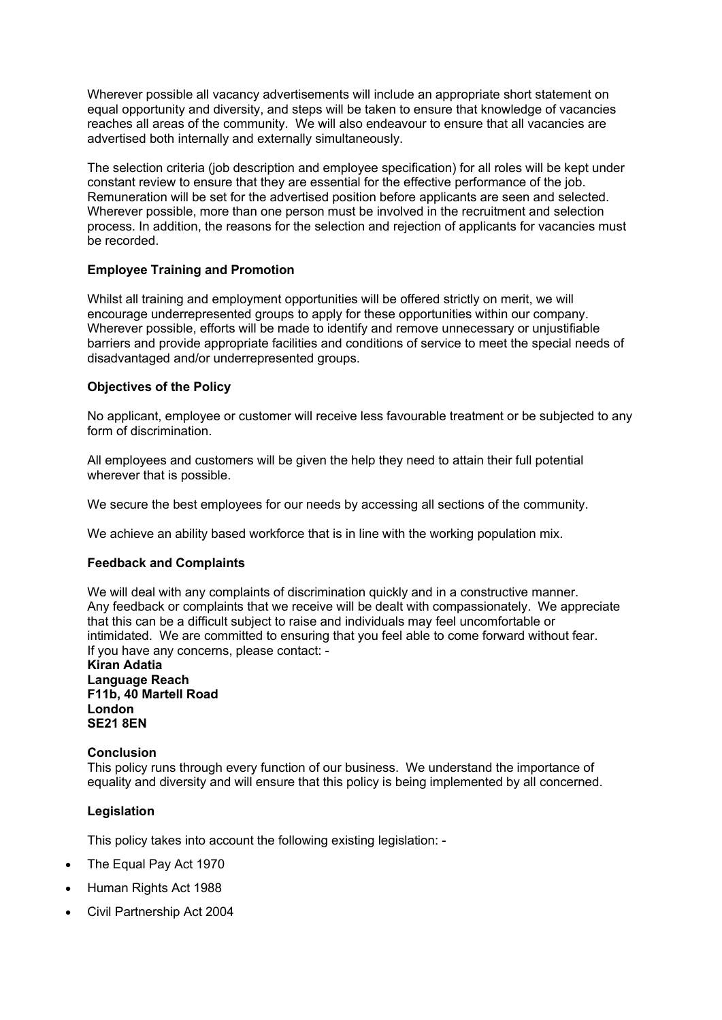Wherever possible all vacancy advertisements will include an appropriate short statement on equal opportunity and diversity, and steps will be taken to ensure that knowledge of vacancies reaches all areas of the community. We will also endeavour to ensure that all vacancies are advertised both internally and externally simultaneously.

The selection criteria (job description and employee specification) for all roles will be kept under constant review to ensure that they are essential for the effective performance of the job. Remuneration will be set for the advertised position before applicants are seen and selected. Wherever possible, more than one person must be involved in the recruitment and selection process. In addition, the reasons for the selection and rejection of applicants for vacancies must be recorded.

## **Employee Training and Promotion**

Whilst all training and employment opportunities will be offered strictly on merit, we will encourage underrepresented groups to apply for these opportunities within our company. Wherever possible, efforts will be made to identify and remove unnecessary or unjustifiable barriers and provide appropriate facilities and conditions of service to meet the special needs of disadvantaged and/or underrepresented groups.

## **Objectives of the Policy**

No applicant, employee or customer will receive less favourable treatment or be subjected to any form of discrimination.

All employees and customers will be given the help they need to attain their full potential wherever that is possible.

We secure the best employees for our needs by accessing all sections of the community.

We achieve an ability based workforce that is in line with the working population mix.

## **Feedback and Complaints**

We will deal with any complaints of discrimination quickly and in a constructive manner. Any feedback or complaints that we receive will be dealt with compassionately. We appreciate that this can be a difficult subject to raise and individuals may feel uncomfortable or intimidated. We are committed to ensuring that you feel able to come forward without fear. If you have any concerns, please contact: -

#### **Kiran Adatia Language Reach F11b, 40 Martell Road London SE21 8EN**

#### **Conclusion**

This policy runs through every function of our business. We understand the importance of equality and diversity and will ensure that this policy is being implemented by all concerned.

## **Legislation**

This policy takes into account the following existing legislation: -

- The Equal Pay Act 1970
- Human Rights Act 1988
- Civil Partnership Act 2004